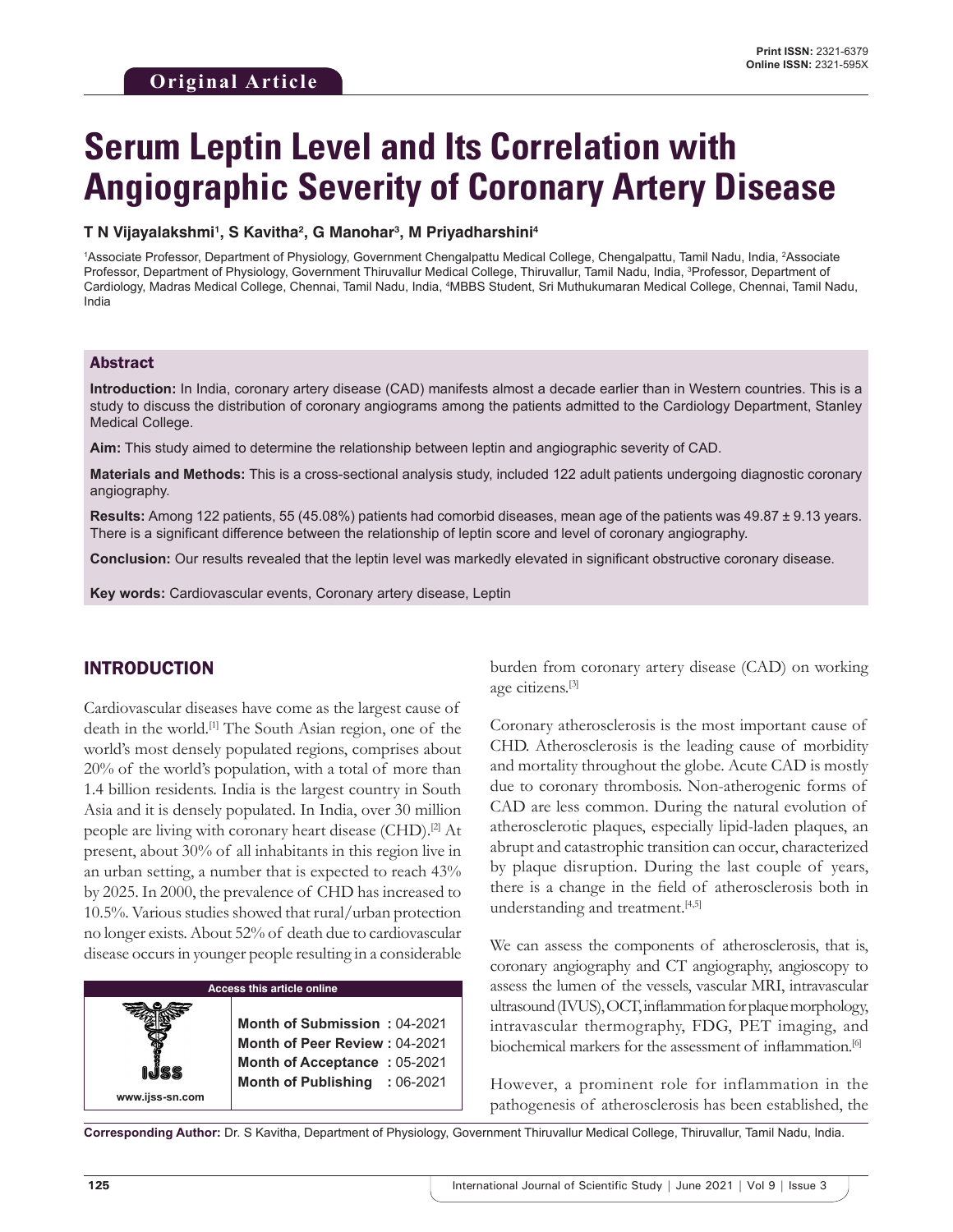# **Serum Leptin Level and Its Correlation with Angiographic Severity of Coronary Artery Disease**

#### **T N Vijayalakshmi1 , S Kavitha2 , G Manohar3 , M Priyadharshini4**

1 Associate Professor, Department of Physiology, Government Chengalpattu Medical College, Chengalpattu, Tamil Nadu, India, 2 Associate Professor, Department of Physiology, Government Thiruvallur Medical College, Thiruvallur, Tamil Nadu, India, <sup>3</sup>Professor, Department of Cardiology, Madras Medical College, Chennai, Tamil Nadu, India, <del>'</del>MBBS Student, Sri Muthukumaran Medical College, Chennai, Tamil Nadu, India

#### Abstract

**Introduction:** In India, coronary artery disease (CAD) manifests almost a decade earlier than in Western countries. This is a study to discuss the distribution of coronary angiograms among the patients admitted to the Cardiology Department, Stanley Medical College.

**Aim:** This study aimed to determine the relationship between leptin and angiographic severity of CAD.

**Materials and Methods:** This is a cross-sectional analysis study, included 122 adult patients undergoing diagnostic coronary angiography.

**Results:** Among 122 patients, 55 (45.08%) patients had comorbid diseases, mean age of the patients was 49.87 ± 9.13 years. There is a significant difference between the relationship of leptin score and level of coronary angiography.

**Conclusion:** Our results revealed that the leptin level was markedly elevated in significant obstructive coronary disease.

**Key words:** Cardiovascular events, Coronary artery disease, Leptin

#### INTRODUCTION

Cardiovascular diseases have come as the largest cause of death in the world.[1] The South Asian region, one of the world's most densely populated regions, comprises about 20% of the world's population, with a total of more than 1.4 billion residents. India is the largest country in South Asia and it is densely populated. In India, over 30 million people are living with coronary heart disease (CHD).[2] At present, about 30% of all inhabitants in this region live in an urban setting, a number that is expected to reach 43% by 2025. In 2000, the prevalence of CHD has increased to 10.5%. Various studies showed that rural/urban protection no longer exists. About 52% of death due to cardiovascular disease occurs in younger people resulting in a considerable

| Access this article online |  |
|----------------------------|--|
|----------------------------|--|

**Month of Submission :** 04-2021 **Month of Peer Review :** 04-2021 **Month of Acceptance :** 05-2021 **Month of Publishing :** 06-2021

burden from coronary artery disease (CAD) on working age citizens.[3]

Coronary atherosclerosis is the most important cause of CHD. Atherosclerosis is the leading cause of morbidity and mortality throughout the globe. Acute CAD is mostly due to coronary thrombosis. Non-atherogenic forms of CAD are less common. During the natural evolution of atherosclerotic plaques, especially lipid-laden plaques, an abrupt and catastrophic transition can occur, characterized by plaque disruption. During the last couple of years, there is a change in the field of atherosclerosis both in understanding and treatment.[4,5]

We can assess the components of atherosclerosis, that is, coronary angiography and CT angiography, angioscopy to assess the lumen of the vessels, vascular MRI, intravascular ultrasound (IVUS), OCT, inflammation for plaque morphology, intravascular thermography, FDG, PET imaging, and biochemical markers for the assessment of inflammation.<sup>[6]</sup>

However, a prominent role for inflammation in the pathogenesis of atherosclerosis has been established, the

**Corresponding Author:** Dr. S Kavitha, Department of Physiology, Government Thiruvallur Medical College, Thiruvallur, Tamil Nadu, India.

**www.ijss-sn.com**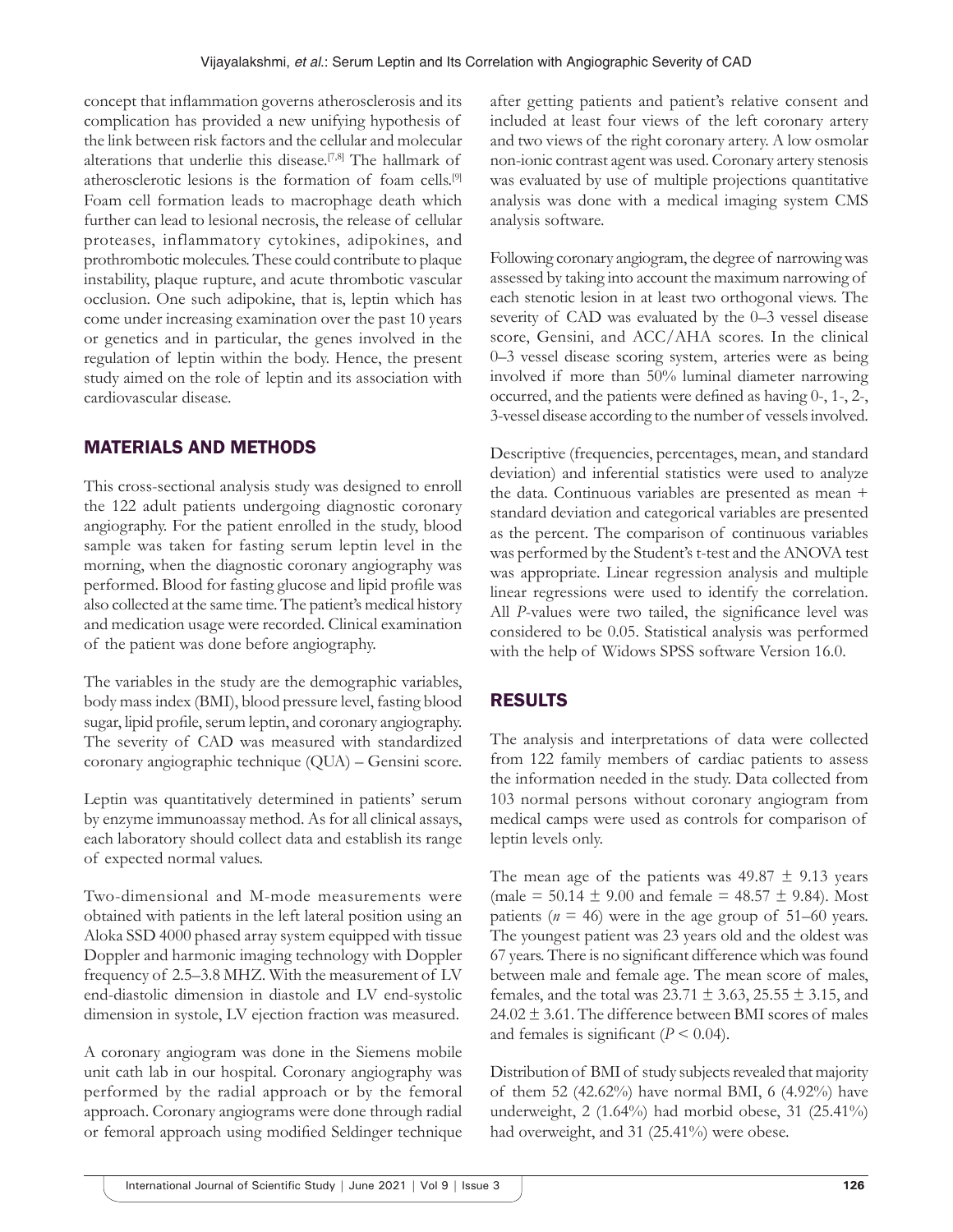concept that inflammation governs atherosclerosis and its complication has provided a new unifying hypothesis of the link between risk factors and the cellular and molecular alterations that underlie this disease.<sup>[7,8]</sup> The hallmark of atherosclerotic lesions is the formation of foam cells.[9] Foam cell formation leads to macrophage death which further can lead to lesional necrosis, the release of cellular proteases, inflammatory cytokines, adipokines, and prothrombotic molecules. These could contribute to plaque instability, plaque rupture, and acute thrombotic vascular occlusion. One such adipokine, that is, leptin which has come under increasing examination over the past 10 years or genetics and in particular, the genes involved in the regulation of leptin within the body. Hence, the present study aimed on the role of leptin and its association with cardiovascular disease.

# MATERIALS AND METHODS

This cross-sectional analysis study was designed to enroll the 122 adult patients undergoing diagnostic coronary angiography. For the patient enrolled in the study, blood sample was taken for fasting serum leptin level in the morning, when the diagnostic coronary angiography was performed. Blood for fasting glucose and lipid profile was also collected at the same time. The patient's medical history and medication usage were recorded. Clinical examination of the patient was done before angiography.

The variables in the study are the demographic variables, body mass index (BMI), blood pressure level, fasting blood sugar, lipid profile, serum leptin, and coronary angiography. The severity of CAD was measured with standardized coronary angiographic technique (QUA) – Gensini score.

Leptin was quantitatively determined in patients' serum by enzyme immunoassay method. As for all clinical assays, each laboratory should collect data and establish its range of expected normal values.

Two-dimensional and M-mode measurements were obtained with patients in the left lateral position using an Aloka SSD 4000 phased array system equipped with tissue Doppler and harmonic imaging technology with Doppler frequency of 2.5–3.8 MHZ. With the measurement of LV end-diastolic dimension in diastole and LV end-systolic dimension in systole, LV ejection fraction was measured.

A coronary angiogram was done in the Siemens mobile unit cath lab in our hospital. Coronary angiography was performed by the radial approach or by the femoral approach. Coronary angiograms were done through radial or femoral approach using modified Seldinger technique

after getting patients and patient's relative consent and included at least four views of the left coronary artery and two views of the right coronary artery. A low osmolar non-ionic contrast agent was used. Coronary artery stenosis was evaluated by use of multiple projections quantitative analysis was done with a medical imaging system CMS analysis software.

Following coronary angiogram, the degree of narrowing was assessed by taking into account the maximum narrowing of each stenotic lesion in at least two orthogonal views. The severity of CAD was evaluated by the 0–3 vessel disease score, Gensini, and ACC/AHA scores. In the clinical 0–3 vessel disease scoring system, arteries were as being involved if more than 50% luminal diameter narrowing occurred, and the patients were defined as having 0-, 1-, 2-, 3-vessel disease according to the number of vessels involved.

Descriptive (frequencies, percentages, mean, and standard deviation) and inferential statistics were used to analyze the data. Continuous variables are presented as mean + standard deviation and categorical variables are presented as the percent. The comparison of continuous variables was performed by the Student's t-test and the ANOVA test was appropriate. Linear regression analysis and multiple linear regressions were used to identify the correlation. All *P*-values were two tailed, the significance level was considered to be 0.05. Statistical analysis was performed with the help of Widows SPSS software Version 16.0.

# RESULTS

The analysis and interpretations of data were collected from 122 family members of cardiac patients to assess the information needed in the study. Data collected from 103 normal persons without coronary angiogram from medical camps were used as controls for comparison of leptin levels only.

The mean age of the patients was  $49.87 \pm 9.13$  years (male = 50.14  $\pm$  9.00 and female = 48.57  $\pm$  9.84). Most patients ( $n = 46$ ) were in the age group of 51–60 years. The youngest patient was 23 years old and the oldest was 67 years. There is no significant difference which was found between male and female age. The mean score of males, females, and the total was  $23.71 \pm 3.63$ ,  $25.55 \pm 3.15$ , and  $24.02 \pm 3.61$ . The difference between BMI scores of males and females is significant  $(P < 0.04)$ .

Distribution of BMI of study subjects revealed that majority of them 52 (42.62%) have normal BMI, 6 (4.92%) have underweight, 2 (1.64%) had morbid obese, 31 (25.41%) had overweight, and 31 (25.41%) were obese.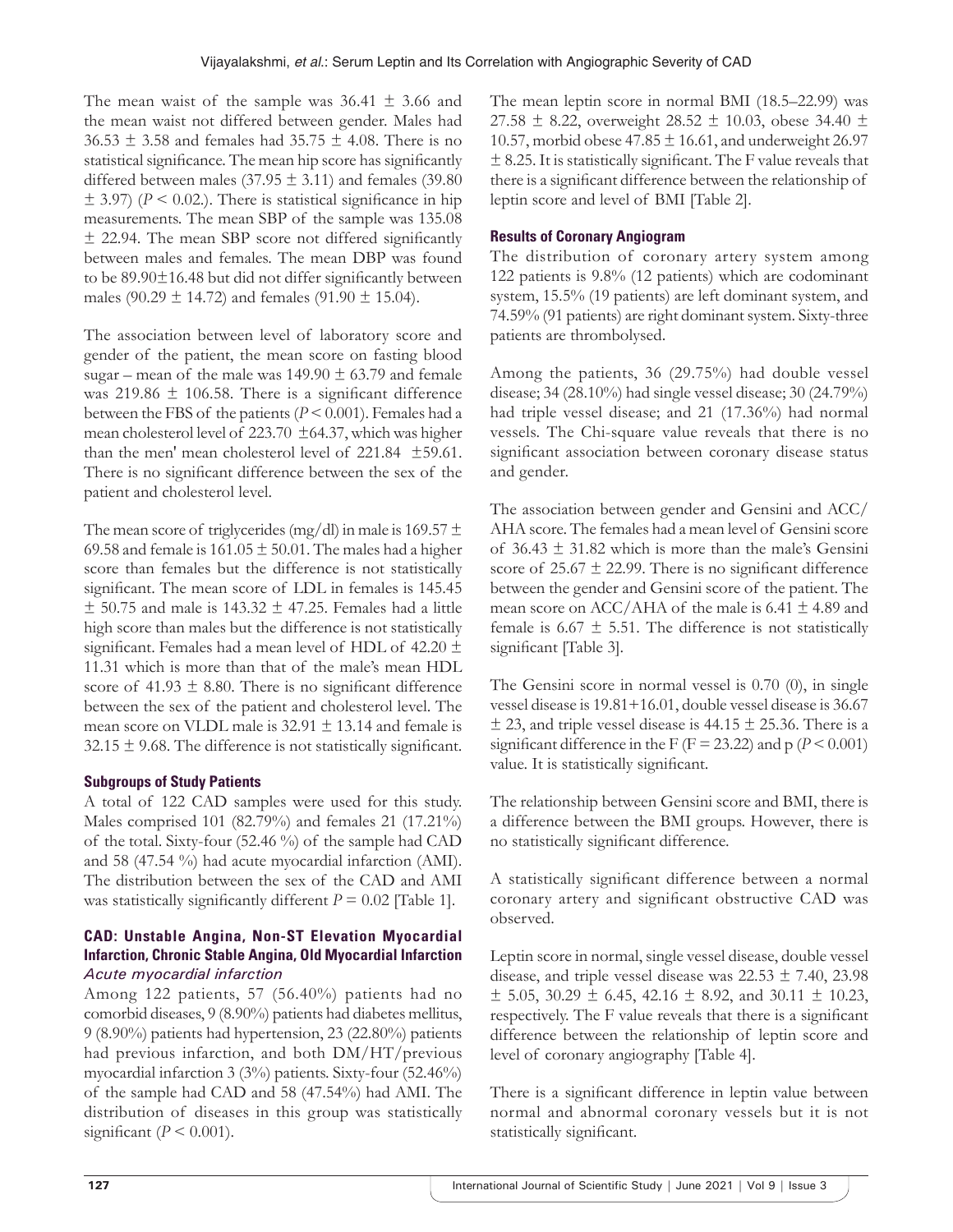The mean waist of the sample was  $36.41 \pm 3.66$  and the mean waist not differed between gender. Males had  $36.53 \pm 3.58$  and females had  $35.75 \pm 4.08$ . There is no statistical significance. The mean hip score has significantly differed between males (37.95  $\pm$  3.11) and females (39.80  $\pm$  3.97) ( $P < 0.02$ .). There is statistical significance in hip measurements. The mean SBP of the sample was 135.08 ± 22.94. The mean SBP score not differed significantly between males and females. The mean DBP was found to be 89.90±16.48 but did not differ significantly between males (90.29  $\pm$  14.72) and females (91.90  $\pm$  15.04).

The association between level of laboratory score and gender of the patient, the mean score on fasting blood sugar – mean of the male was  $149.90 \pm 63.79$  and female was  $219.86 \pm 106.58$ . There is a significant difference between the FBS of the patients (*P* < 0.001). Females had a mean cholesterol level of 223.70 ±64.37, which was higher than the men' mean cholesterol level of 221.84 ±59.61. There is no significant difference between the sex of the patient and cholesterol level.

The mean score of triglycerides (mg/dl) in male is 169.57  $\pm$ 69.58 and female is  $161.05 \pm 50.01$ . The males had a higher score than females but the difference is not statistically significant. The mean score of LDL in females is 145.45  $±$  50.75 and male is 143.32  $±$  47.25. Females had a little high score than males but the difference is not statistically significant. Females had a mean level of HDL of  $42.20 \pm$ 11.31 which is more than that of the male's mean HDL score of  $41.93 \pm 8.80$ . There is no significant difference between the sex of the patient and cholesterol level. The mean score on VLDL male is  $32.91 \pm 13.14$  and female is  $32.15 \pm 9.68$ . The difference is not statistically significant.

### **Subgroups of Study Patients**

A total of 122 CAD samples were used for this study. Males comprised 101 (82.79%) and females 21 (17.21%) of the total. Sixty-four (52.46 %) of the sample had CAD and 58 (47.54 %) had acute myocardial infarction (AMI). The distribution between the sex of the CAD and AMI was statistically significantly different  $P = 0.02$  [Table 1].

#### **CAD: Unstable Angina, Non-ST Elevation Myocardial Infarction, Chronic Stable Angina, Old Myocardial Infarction** *Acute myocardial infarction*

Among 122 patients, 57 (56.40%) patients had no comorbid diseases, 9 (8.90%) patients had diabetes mellitus, 9 (8.90%) patients had hypertension, 23 (22.80%) patients had previous infarction, and both DM/HT/previous myocardial infarction 3 (3%) patients. Sixty-four (52.46%) of the sample had CAD and 58 (47.54%) had AMI. The distribution of diseases in this group was statistically significant  $(P < 0.001)$ .

The mean leptin score in normal BMI (18.5–22.99) was 27.58  $\pm$  8.22, overweight 28.52  $\pm$  10.03, obese 34.40  $\pm$ 10.57, morbid obese  $47.85 \pm 16.61$ , and underweight 26.97  $\pm$  8.25. It is statistically significant. The F value reveals that there is a significant difference between the relationship of leptin score and level of BMI [Table 2].

#### **Results of Coronary Angiogram**

The distribution of coronary artery system among 122 patients is 9.8% (12 patients) which are codominant system, 15.5% (19 patients) are left dominant system, and 74.59% (91 patients) are right dominant system. Sixty-three patients are thrombolysed.

Among the patients, 36 (29.75%) had double vessel disease; 34 (28.10%) had single vessel disease; 30 (24.79%) had triple vessel disease; and 21 (17.36%) had normal vessels. The Chi-square value reveals that there is no significant association between coronary disease status and gender.

The association between gender and Gensini and ACC/ AHA score. The females had a mean level of Gensini score of  $36.43 \pm 31.82$  which is more than the male's Gensini score of  $25.67 \pm 22.99$ . There is no significant difference between the gender and Gensini score of the patient. The mean score on ACC/AHA of the male is 6.41  $\pm$  4.89 and female is 6.67  $\pm$  5.51. The difference is not statistically significant [Table 3].

The Gensini score in normal vessel is 0.70 (0), in single vessel disease is 19.81+16.01, double vessel disease is 36.67  $\pm$  23, and triple vessel disease is 44.15  $\pm$  25.36. There is a significant difference in the F ( $F = 23.22$ ) and p ( $P < 0.001$ ) value. It is statistically significant.

The relationship between Gensini score and BMI, there is a difference between the BMI groups. However, there is no statistically significant difference.

A statistically significant difference between a normal coronary artery and significant obstructive CAD was observed.

Leptin score in normal, single vessel disease, double vessel disease, and triple vessel disease was  $22.53 \pm 7.40$ ,  $23.98$  $\pm$  5.05, 30.29  $\pm$  6.45, 42.16  $\pm$  8.92, and 30.11  $\pm$  10.23, respectively. The F value reveals that there is a significant difference between the relationship of leptin score and level of coronary angiography [Table 4].

There is a significant difference in leptin value between normal and abnormal coronary vessels but it is not statistically significant.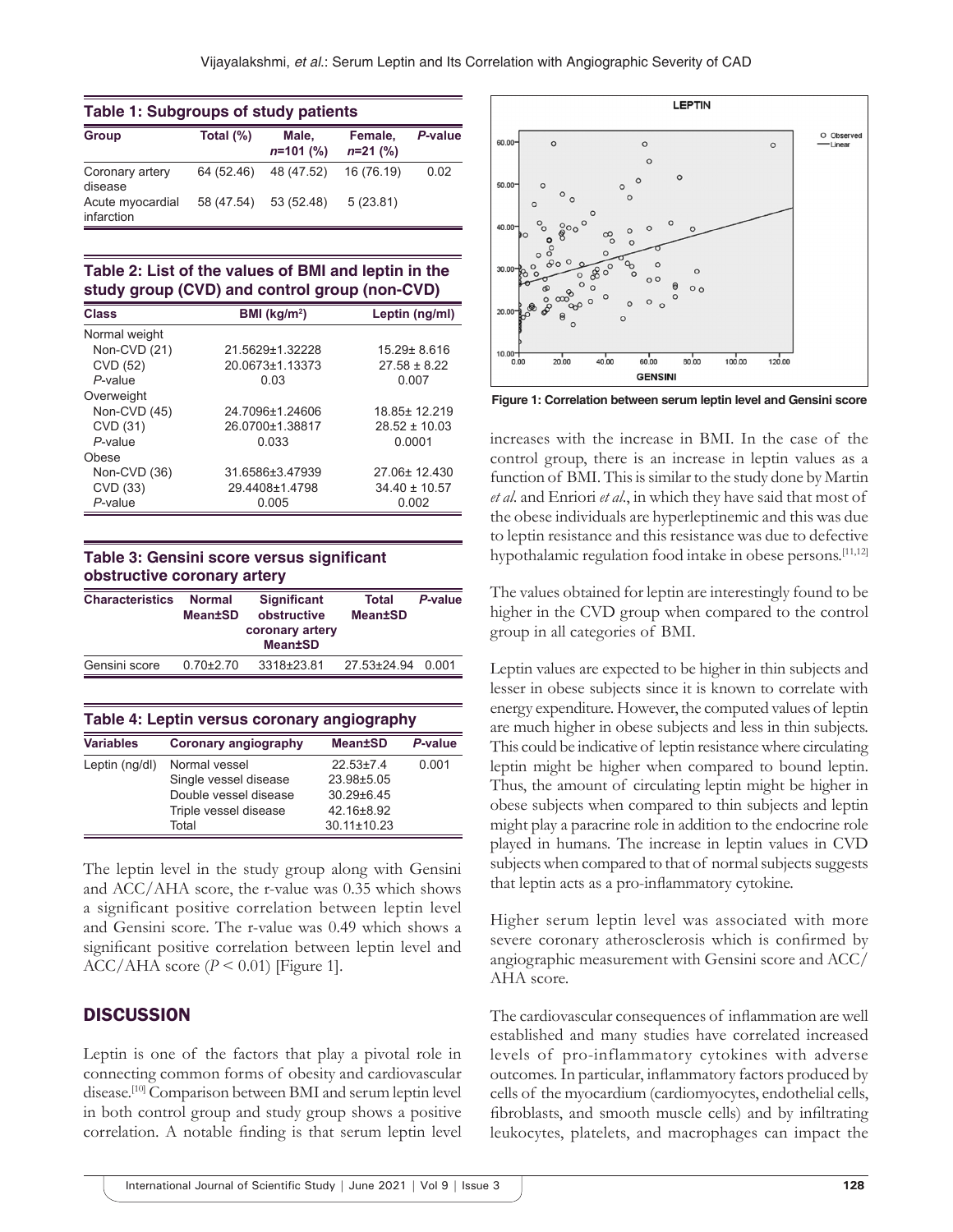| <b>Table 1: Subgroups of study patients</b> |              |                      |                       |         |  |  |
|---------------------------------------------|--------------|----------------------|-----------------------|---------|--|--|
| <b>Group</b>                                | Total $(\%)$ | Male.<br>$n=101$ (%) | Female,<br>$n=21$ (%) | P-value |  |  |
| Coronary artery<br>disease                  | 64 (52.46)   | 48 (47.52)           | 16 (76.19)            | 0.02    |  |  |
| Acute myocardial<br>infarction              | 58 (47.54)   | 53 (52.48)           | 5(23.81)              |         |  |  |

**Table 2: List of the values of BMI and leptin in the study group (CVD) and control group (non-CVD)**

| <b>Class</b>  | BMI ( $kg/m2$ ) | Leptin (ng/ml)    |
|---------------|-----------------|-------------------|
| Normal weight |                 |                   |
| Non-CVD (21)  | 21.5629±1.32228 | 15.29± 8.616      |
| CVD (52)      | 20.0673±1.13373 | $27.58 \pm 8.22$  |
| P-value       | 0.03            | 0.007             |
| Overweight    |                 |                   |
| Non-CVD (45)  | 24.7096±1.24606 | 18.85±12.219      |
| CVD (31)      | 26.0700±1.38817 | $28.52 \pm 10.03$ |
| $P$ -value    | 0.033           | 0.0001            |
| Obese         |                 |                   |
| Non-CVD (36)  | 31.6586±3.47939 | 27.06±12.430      |
| CVD (33)      | 29.4408±1.4798  | $34.40 \pm 10.57$ |
| $P$ -value    | 0.005           | 0.002             |

**Table 3: Gensini score versus significant obstructive coronary artery**

|               | coronary artery<br><b>Mean±SD</b> |             |
|---------------|-----------------------------------|-------------|
| $0.70 + 2.70$ | 3318±23.81                        | 0.001       |
|               |                                   | 27.53±24.94 |

| Table 4: Leptin versus coronary angiography |                             |                   |         |  |  |
|---------------------------------------------|-----------------------------|-------------------|---------|--|--|
| <b>Variables</b>                            | <b>Coronary angiography</b> | <b>Mean±SD</b>    | P-value |  |  |
| Leptin (ng/dl)                              | Normal vessel               | $22.53+7.4$       | 0.001   |  |  |
|                                             | Single vessel disease       | 23.98±5.05        |         |  |  |
|                                             | Double vessel disease       | $30.29 \pm 6.45$  |         |  |  |
|                                             | Triple vessel disease       | 42.16±8.92        |         |  |  |
|                                             | Total                       | $30.11 \pm 10.23$ |         |  |  |

The leptin level in the study group along with Gensini and ACC/AHA score, the r-value was 0.35 which shows a significant positive correlation between leptin level and Gensini score. The r-value was 0.49 which shows a significant positive correlation between leptin level and  $ACC/AHA$  score ( $P \le 0.01$ ) [Figure 1].

#### **DISCUSSION**

Leptin is one of the factors that play a pivotal role in connecting common forms of obesity and cardiovascular disease.<sup>[10]</sup> Comparison between BMI and serum leptin level in both control group and study group shows a positive correlation. A notable finding is that serum leptin level



**Figure 1: Correlation between serum leptin level and Gensini score**

increases with the increase in BMI. In the case of the control group, there is an increase in leptin values as a function of BMI. This is similar to the study done by Martin *et al*. and Enriori *et al*., in which they have said that most of the obese individuals are hyperleptinemic and this was due to leptin resistance and this resistance was due to defective hypothalamic regulation food intake in obese persons.<sup>[11,12]</sup>

The values obtained for leptin are interestingly found to be higher in the CVD group when compared to the control group in all categories of BMI.

Leptin values are expected to be higher in thin subjects and lesser in obese subjects since it is known to correlate with energy expenditure. However, the computed values of leptin are much higher in obese subjects and less in thin subjects. This could be indicative of leptin resistance where circulating leptin might be higher when compared to bound leptin. Thus, the amount of circulating leptin might be higher in obese subjects when compared to thin subjects and leptin might play a paracrine role in addition to the endocrine role played in humans. The increase in leptin values in CVD subjects when compared to that of normal subjects suggests that leptin acts as a pro-inflammatory cytokine.

Higher serum leptin level was associated with more severe coronary atherosclerosis which is confirmed by angiographic measurement with Gensini score and ACC/ AHA score.

The cardiovascular consequences of inflammation are well established and many studies have correlated increased levels of pro-inflammatory cytokines with adverse outcomes. In particular, inflammatory factors produced by cells of the myocardium (cardiomyocytes, endothelial cells, fibroblasts, and smooth muscle cells) and by infiltrating leukocytes, platelets, and macrophages can impact the